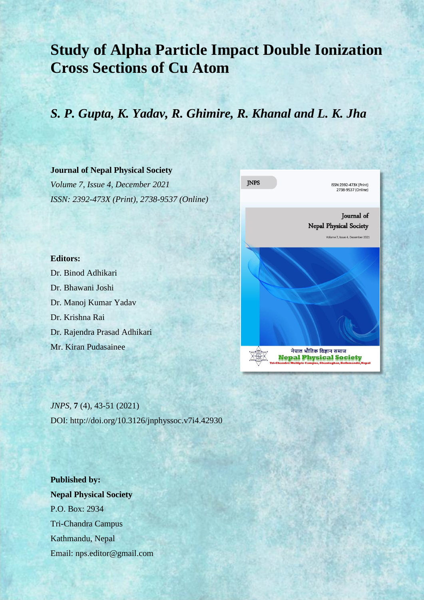# **Study of Alpha Particle Impact Double Ionization Cross Sections of Cu Atom**

# *S. P. Gupta, K. Yadav, R. Ghimire, R. Khanal and L. K. Jha*

### **Journal of Nepal Physical Society**

*Volume 7, Issue 4, December 2021 ISSN: 2392-473X (Print), 2738-9537 (Online)*



**Editors:**

Dr. Binod Adhikari Dr. Bhawani Joshi Dr. Manoj Kumar Yadav Dr. Krishna Rai Dr. Rajendra Prasad Adhikari Mr. Kiran Pudasainee

*JNPS,* **7** (4), 43-51 (2021) DOI: http://doi.org/10.3126/jnphyssoc.v7i4.42930

**Published by: Nepal Physical Society** P.O. Box: 2934 Tri-Chandra Campus Kathmandu, Nepal Email: nps.editor@gmail.com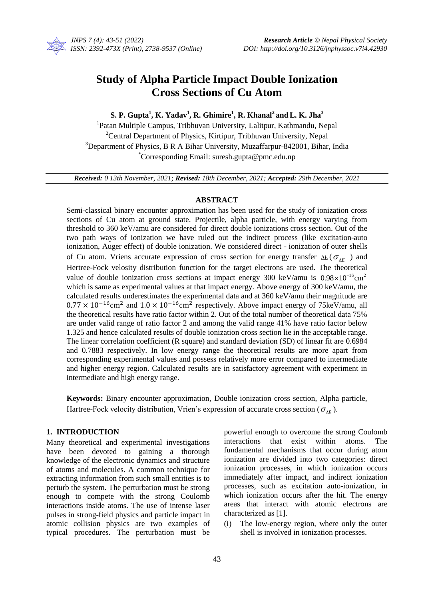

## **Study of Alpha Particle Impact Double Ionization Cross Sections of Cu Atom**

### $\mathbf{S}.$   $\mathbf{P}.$   $\mathbf{Gupta}^{1}, \mathbf{K}.$   $\mathbf{Yadar}^{1}, \mathbf{R}.$   $\mathbf{Ghimire}^{1}, \mathbf{R}.$   $\mathbf{Khanal}^{2}$  and  $\mathbf{L}.$   $\mathbf{K.}$   $\mathbf{Jha}^{3}$

<sup>1</sup>Patan Multiple Campus, Tribhuvan University, Lalitpur, Kathmandu, Nepal <sup>2</sup>Central Department of Physics, Kirtipur, Tribhuvan University, Nepal  $3$ Department of Physics, B R A Bihar University, Muzaffarpur-842001, Bihar, India \*Corresponding Email: suresh.gupta@pmc.edu.n[p](mailto:%20suresh.gupta@pmc.edu.np)

*Received: 0 13th November, 2021; Revised: 18th December, 2021; Accepted: 29th December, 2021*

#### **ABSTRACT**

Semi-classical binary encounter approximation has been used for the study of ionization cross sections of Cu atom at ground state. Projectile, alpha particle, with energy varying from threshold to 360 keV/amu are considered for direct double ionizations cross section. Out of the two path ways of ionization we have ruled out the indirect process (like excitation-auto ionization, Auger effect) of double ionization. We considered direct - ionization of outer shells of Cu atom. Vriens accurate expression of cross section for energy transfer  $\Delta E$  ( $\sigma_{\Delta E}$ ) and Hertree-Fock velosity distribution function for the target electrons are used. The theoretical value of double ionization cross sections at impact energy 300 keV/amu is  $0.98 \times 10^{-16}$  cm<sup>2</sup> which is same as experimental values at that impact energy. Above energy of 300 keV/amu, the calculated results underestimates the experimental data and at 360 keV/amu their magnitude are  $0.77 \times 10^{-16}$  cm<sup>2</sup> and  $1.0 \times 10^{-16}$  cm<sup>2</sup> respectively. Above impact energy of 75keV/amu, all the theoretical results have ratio factor within 2. Out of the total number of theoretical data 75% are under valid range of ratio factor 2 and among the valid range 41% have ratio factor below 1.325 and hence calculated results of double ionization cross section lie in the acceptable range. The linear correlation coefficient (R square) and standard deviation (SD) of linear fit are 0.6984 and 0.7883 respectively. In low energy range the theoretical results are more apart from corresponding experimental values and possess relatively more error compared to intermediate and higher energy region. Calculated results are in satisfactory agreement with experiment in intermediate and high energy range.

**Keywords:** Binary encounter approximation, Double ionization cross section, Alpha particle, Hartree-Fock velocity distribution, Vrien's expression of accurate cross section ( $\sigma_{\Delta E}$ ).

#### **1. INTRODUCTION**

Many theoretical and experimental investigations have been devoted to gaining a thorough knowledge of the electronic dynamics and structure of atoms and molecules. A common technique for extracting information from such small entities is to perturb the system. The perturbation must be strong enough to compete with the strong Coulomb interactions inside atoms. The use of intense laser pulses in strong-field physics and particle impact in atomic collision physics are two examples of typical procedures. The perturbation must be powerful enough to overcome the strong Coulomb interactions that exist within atoms. The fundamental mechanisms that occur during atom ionization are divided into two categories: direct ionization processes, in which ionization occurs immediately after impact, and indirect ionization processes, such as excitation auto-ionization, in which ionization occurs after the hit. The energy areas that interact with atomic electrons are characterized as [1].

(i) The low-energy region, where only the outer shell is involved in ionization processes.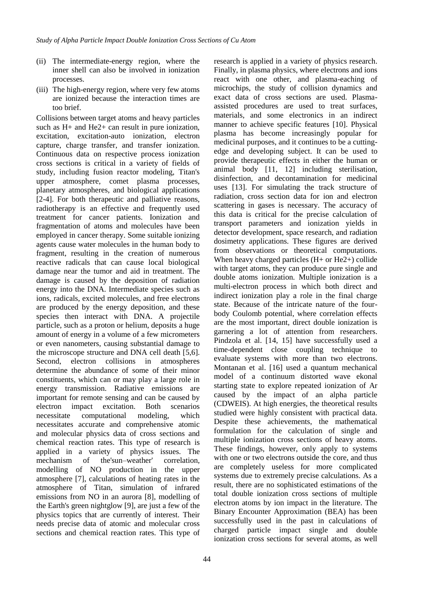- (ii) The intermediate-energy region, where the inner shell can also be involved in ionization processes.
- (iii) The high-energy region, where very few atoms are ionized because the interaction times are too brief.

Collisions between target atoms and heavy particles such as H+ and He2+ can result in pure ionization, excitation, excitation-auto ionization, electron capture, charge transfer, and transfer ionization. Continuous data on respective process ionization cross sections is critical in a variety of fields of study, including fusion reactor modeling, Titan's upper atmosphere, comet plasma processes, planetary atmospheres, and biological applications [2-4]. For both therapeutic and palliative reasons, radiotherapy is an effective and frequently used treatment for cancer patients. Ionization and fragmentation of atoms and molecules have been employed in cancer therapy. Some suitable ionizing agents cause water molecules in the human body to fragment, resulting in the creation of numerous reactive radicals that can cause local biological damage near the tumor and aid in treatment. The damage is caused by the deposition of radiation energy into the DNA. Intermediate species such as ions, radicals, excited molecules, and free electrons are produced by the energy deposition, and these species then interact with DNA. A projectile particle, such as a proton or helium, deposits a huge amount of energy in a volume of a few micrometers or even nanometers, causing substantial damage to the microscope structure and DNA cell death [5,6]. Second, electron collisions in atmospheres determine the abundance of some of their minor constituents, which can or may play a large role in energy transmission. Radiative emissions are important for remote sensing and can be caused by electron impact excitation. Both scenarios necessitate computational modeling, which necessitates accurate and comprehensive atomic and molecular physics data of cross sections and chemical reaction rates. This type of research is applied in a variety of physics issues. The mechanism of the'sun–weather' correlation, modelling of NO production in the upper atmosphere [7], calculations of heating rates in the atmosphere of Titan, simulation of infrared emissions from NO in an aurora [8], modelling of the Earth's green nightglow [9], are just a few of the physics topics that are currently of interest. Their needs precise data of atomic and molecular cross sections and chemical reaction rates. This type of research is applied in a variety of physics research. Finally, in plasma physics, where electrons and ions react with one other, and plasma-eaching of microchips, the study of collision dynamics and exact data of cross sections are used. Plasmaassisted procedures are used to treat surfaces, materials, and some electronics in an indirect manner to achieve specific features [10]. Physical plasma has become increasingly popular for medicinal purposes, and it continues to be a cuttingedge and developing subject. It can be used to provide therapeutic effects in either the human or animal body [11, 12] including sterilisation, disinfection, and decontamination for medicinal uses [13]. For simulating the track structure of radiation, cross section data for ion and electron scattering in gases is necessary. The accuracy of this data is critical for the precise calculation of transport parameters and ionization yields in detector development, space research, and radiation dosimetry applications. These figures are derived from observations or theoretical computations. When heavy charged particles (H+ or He2+) collide with target atoms, they can produce pure single and double atoms ionization. Multiple ionization is a multi-electron process in which both direct and indirect ionization play a role in the final charge state. Because of the intricate nature of the fourbody Coulomb potential, where correlation effects are the most important, direct double ionization is garnering a lot of attention from researchers. Pindzola et al. [14, 15] have successfully used a time-dependent close coupling technique to evaluate systems with more than two electrons. Montanan et al. [16] used a quantum mechanical model of a continuum distorted wave ekonal starting state to explore repeated ionization of Ar caused by the impact of an alpha particle (CDWEIS). At high energies, the theoretical results studied were highly consistent with practical data. Despite these achievements, the mathematical formulation for the calculation of single and multiple ionization cross sections of heavy atoms. These findings, however, only apply to systems with one or two electrons outside the core, and thus are completely useless for more complicated systems due to extremely precise calculations. As a result, there are no sophisticated estimations of the total double ionization cross sections of multiple electron atoms by ion impact in the literature. The Binary Encounter Approximation (BEA) has been successfully used in the past in calculations of charged particle impact single and double ionization cross sections for several atoms, as well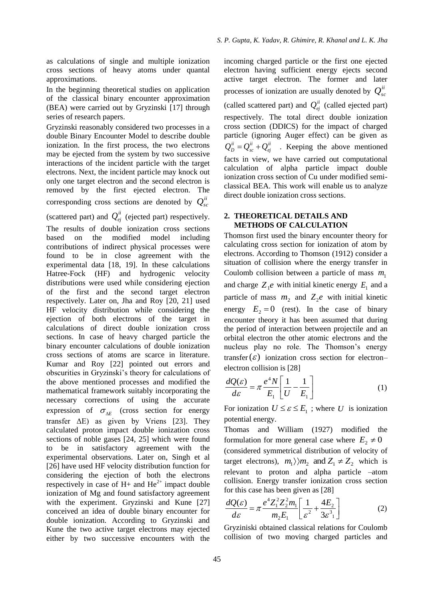as calculations of single and multiple ionization cross sections of heavy atoms under quantal approximations.

In the beginning theoretical studies on application of the classical binary encounter approximation (BEA) were carried out by Gryzinski [17] through series of research papers.

Gryzinski reasonably considered two processes in a double Binary Encounter Model to describe double ionization. In the first process, the two electrons may be ejected from the system by two successive interactions of the incident particle with the target electrons. Next, the incident particle may knock out only one target electron and the second electron is removed by the first ejected electron. The corresponding cross sections are denoted by  $Q_{sc}^{ii}$ (scattered part) and  $Q_{ej}^{ii}$  (ejected part) respectively.

The results of double ionization cross sections based on the modified model including contributions of indirect physical processes were found to be in close agreement with the experimental data [18, 19]. In these calculations Hatree-Fock (HF) and hydrogenic velocity distributions were used while considering ejection of the first and the second target electron respectively. Later on, Jha and Roy [20, 21] used HF velocity distribution while considering the ejection of both electrons of the target in calculations of direct double ionization cross sections. In case of heavy charged particle the binary encounter calculations of double ionization cross sections of atoms are scarce in literature. Kumar and Roy [22] pointed out errors and obscurities in Gryzinski's theory for calculations of the above mentioned processes and modified the mathematical framework suitably incorporating the necessary corrections of using the accurate expression of  $\sigma_{\Delta E}$  (cross section for energy transfer  $\Delta E$ ) as given by Vriens [23]. They calculated proton impact double ionization cross sections of noble gases [24, 25] which were found to be in satisfactory agreement with the experimental observations. Later on, Singh et al [26] have used HF velocity distribution function for considering the ejection of both the electrons respectively in case of  $H$ + and  $He^{2+}$  impact double ionization of Mg and found satisfactory agreement with the experiment. Gryzinski and Kune [27] conceived an idea of double binary encounter for double ionization. According to Gryzinski and Kune the two active target electrons may ejected either by two successive encounters with the

incoming charged particle or the first one ejected electron having sufficient energy ejects second active target electron. The former and later processes of ionization are usually denoted by  $Q_{sc}^{ii}$ (called scattered part) and  $Q_{ej}^{ii}$  (called ejected part) respectively. The total direct double ionization cross section (DDICS) for the impact of charged particle (ignoring Auger effect) can be given as *ii ej ii*  $Q_{D}^{ii} = Q_{sc}^{ii} + Q_{ej}^{ii}$  . Keeping the above mentioned facts in view, we have carried out computational calculation of alpha particle impact double ionization cross section of Cu under modified semiclassical BEA. This work will enable us to analyze direct double ionization cross sections.

#### **2. THEORETICAL DETAILS AND METHODS OF CALCULATION**

Thomson first used the binary encounter theory for calculating cross section for ionization of atom by electrons. According to Thomson (1912) consider a situation of collision where the energy transfer in Coulomb collision between a particle of mass  $m_1$ and charge  $Z_1e$  with initial kinetic energy  $E_1$  and a particle of mass  $m_2$  and  $Z_2e$  with initial kinetic energy  $E_2 = 0$  (rest). In the case of binary encounter theory it has been assumed that during the period of interaction between projectile and an orbital electron the other atomic electrons and the nucleus play no role. The Thomson's energy transfer  $(\varepsilon)$  ionization cross section for electronelectron collision is [28]

$$
\frac{dQ(\varepsilon)}{d\varepsilon} = \pi \frac{e^4 N}{E_1} \left[ \frac{1}{U} - \frac{1}{E_1} \right]
$$
(1)

For ionization  $U \leq \varepsilon \leq E_1$ ; where U is ionization potential energy.

Thomas and William (1927) modified the formulation for more general case where  $E_2 \neq 0$ (considered symmetrical distribution of velocity of target electrons),  $m_1 \rangle$   $m_2$  and  $Z_1 \neq Z_2$  which is relevant to proton and alpha particle –atom collision. Energy transfer ionization cross section for this case has been given as [28]

$$
\frac{dQ(\varepsilon)}{d\varepsilon} = \pi \frac{e^4 Z_1^2 Z_2^2 m_1}{m_2 E_1} \left[ \frac{1}{\varepsilon^2} + \frac{4E_2}{3\varepsilon^3} \right]
$$
(2)

Gryziniski obtained classical relations for Coulomb collision of two moving charged particles and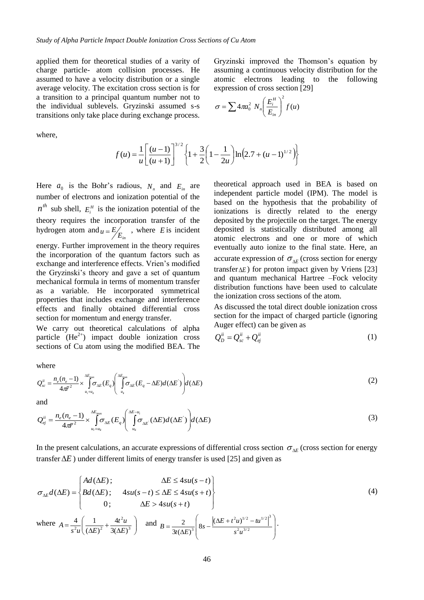applied them for theoretical studies of a varity of charge particle- atom collision processes. He assumed to have a velocity distribution or a single average velocity. The excitation cross section is for a transition to a principal quantum number not to the individual sublevels. Gryzinski assumed s-s transitions only take place during exchange process.

where,

$$
f(u) = \frac{1}{u} \left[ \frac{(u-1)}{(u+1)} \right]^{3/2} \left\{ 1 + \frac{3}{2} \left( 1 - \frac{1}{2u} \right) \ln \left( 2.7 + (u-1)^{1/2} \right) \right\}
$$

Here  $a_0$  is the Bohr's radious,  $N_n$  and  $E_{in}$  are number of electrons and ionization potential of the  $n^{th}$  sub shell,  $E_i^H$  is the ionization potential of the theory requires the incorporation transfer of the hydrogen atom and  $u = E/E_{in}$ , where *E* is incident energy. Further improvement in the theory requires the incorporation of the quantum factors such as exchange and interference effects. Vrien's modified the Gryzinski's theory and gave a set of quantum mechanical formula in terms of momentum transfer as a variable. He incorporated symmetrical properties that includes exchange and interference effects and finally obtained differential cross section for momentum and energy transfer.

We carry out theoretical calculations of alpha particle  $(He^{2+})$  impact double ionization cross sections of Cu atom using the modified BEA. The

theoretical approach used in BEA is based on independent particle model (IPM). The model is based on the hypothesis that the probability of ionizations is directly related to the energy deposited by the projectile on the target. The energy deposited is statistically distributed among all atomic electrons and one or more of which eventually auto ionize to the final state. Here, an accurate expression of  $\sigma_{\Delta E}$  (cross section for energy transfer $\Delta E$ ) for proton impact given by Vriens [23] and quantum mechanical Hartree –Fock velocity distribution functions have been used to calculate the ionization cross sections of the atom.

As discussed the total direct double ionization cross section for the impact of charged particle (ignoring Auger effect) can be given as

$$
Q_D^{ii} = Q_{sc}^{ii} + Q_{ej}^{ii}
$$
 (1)

where

$$
Q_{sc}^{ii} = \frac{n_e (n_e - 1)}{4\pi^2} \times \int_{u_i + u_i}^{\Delta E_{\text{max}}} \sigma_{\Delta E}(E_q) \left( \int_{u_i}^{\Delta E_{\text{max}}} \sigma_{\Delta E}(E_q - \Delta E) d(\Delta E) \right) d(\Delta E)
$$
 (2)

and

$$
Q_{ej}^{ii} = \frac{n_e (n_e - 1)}{4\pi^2} \times \int_{u_i + u_i}^{\Delta E_{\text{max}}} \sigma_{\Delta E}(E_q) \left( \int_{u_i}^{\Delta E - u_i} \sigma_{\Delta E}(\Delta E) d(\Delta E) \right) d(\Delta E)
$$
(3)

In the present calculations, an accurate expressions of differential cross section  $\sigma_{\Delta E}$  (cross section for energy *Ad* ( $\Delta E$ );<br>  $\Delta E \leq 4su(s - t)$ <br>  $A d(\Delta E)$ ;<br>  $\Delta E \leq 4su(s - t)$ <br>  $A su(s - t) \leq A E \leq 4su(s + t)$ 

transfer 
$$
\Delta E
$$
) under different limits of energy transfer is used [25] and given as  
\n
$$
\sigma_{\Delta E} d(\Delta E) = \begin{cases}\nAd(\Delta E); & \Delta E \le 4su(s-t) \\
Bd(\Delta E); & 4su(s-t) \le \Delta E \le 4su(s+t) \\
0; & \Delta E > 4su(s+t)\n\end{cases}
$$
\n(4)  
\nwhere  $A = \frac{4}{s^2 u} \left( \frac{1}{(\Delta E)^2} + \frac{4t^2 u}{3(\Delta E)^3} \right)$  and  $B = \frac{2}{3t(\Delta E)^3} \left[ 8s - \frac{[(\Delta E + t^2 u)^{1/2} - tu^{1/2}]^3}{s^2 u^{3/2}} \right].$ 

Gryzinski improved the Thomson's equation by assuming a continuous velocity distribution for the atomic electrons leading to the following expression of cross section [29]

$$
\sigma = \sum 4\pi a_0^2 N_n \left(\frac{E_i^H}{E_{in}}\right)^2 f(u)
$$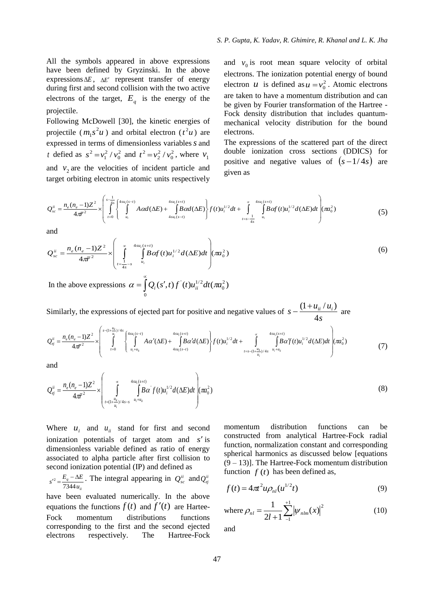All the symbols appeared in above expressions have been defined by Gryzinski. In the above expressions  $\Delta E$ ,  $\Delta E'$  represent transfer of energy during first and second collision with the two active electrons of the target,  $E_q$  is the energy of the projectile.

Following McDowell [30], the kinetic energies of projectile  $(m_1 s^2 u)$  $h_1 s^2 u$ ) and orbital electron ( $t^2 u$ ) are expressed in terms of dimensionless variables *s* and *t* defied as  $s^2 = v_1^2 / v_0^2$  and  $t^2 = v_2^2 / v_0^2$ , where  $v_1$ and  $v_2$  are the velocities of incident particle and target orbiting electron in atomic units respectively

and  $v_0$  is root mean square velocity of orbital electrons. The ionization potential energy of bound electron *u* is defined as  $u = v_0^2$ . Atomic electrons are taken to have a momentum distribution and can be given by Fourier transformation of the Hartree - Fock density distribution that includes quantummechanical velocity distribution for the bound electrons.

The expressions of the scattered part of the direct double ionization cross sections (DDICS) for positive and negative values of  $(s-1/4s)$  are given as

$$
Q_{sc}^{ii} = \frac{n_e (n_e - 1)Z^2}{4\pi r^2} \times \left( \int_{t=0}^{s-\frac{1}{4s}} \int_{u_i}^{4su_i(s-t)} A \alpha d(\Delta E) + \int_{4su_i(s-t)}^{4su_i(s+t)} B \alpha d(\Delta E) \right) f(t) u_i^{1/2} dt + \int_{t=s-\frac{1}{4s}}^{\infty} \int_{u_i}^{4su_i(s+t)} B \alpha f(t) u_i^{1/2} d(\Delta E) dt \right) (\pi a_0^2)
$$
(5)

and

$$
Q_{sc}^{ii} = \frac{n_e (n_e - 1)Z^2}{4\pi^2} \times \left( \int_{\frac{1}{4s} - 1}^{\infty} \int_{u_i}^{4su_i(s+t)} B\alpha f(t)u_i^{1/2} d(\Delta E) dt \right) (\pi a_0^2)
$$
(6)

In the above expressions  $\alpha = \left[ Q_i(s',t) f'(t) u_{ii}^{1/2} dt(\pi a_0^2) \right]$  $\boldsymbol{0}$  $1/2$  $\mathbf{0}$  $\alpha = \int Q_i(s',t) f^{(i)}(t) u_{ii}^{1/2} dt$  *(* $\pi a$ 

Similarly, the expressions of ejected part for positive and negative values of *s*  $s - \frac{(1+u_{ii}/u_{i})}{t}$ 4 of ejected part for positive and negative values of  $s - \frac{(1 + u_{ii}/u_i)}{4s}$  are<br>  $\frac{4su_i(s+i)}{4s}$  are<br>  $\left(\frac{4su_i(s+i)}{4\alpha'(eE)}\right)$   $\frac{4su_i(s+i)}{8\alpha'(eE)}$   $\frac{4su_i(s+i)}{8\alpha'(eE)}$ 

$$
Q_{ej}^{ii} = \frac{n_e (n_e - 1)Z^2}{4\pi^2} \times \left( \int_{t=0}^{s-(1+\frac{u_i}{u_i})/4s} \left( \int_{u_i+u_i}^{4su_i(s-t)} A\alpha'(\Delta E) + \int_{4su_i(s-t)}^{4su_i(s+t)} B\alpha' d(\Delta E) \right) f(t) u_i^{1/2} dt + \int_{t=s-(1+\frac{u_i}{u_i})/4s}^{\infty} \int_{u_i+u_i}^{4su_i(s+t)} B\alpha' f(t) u_i^{1/2} d(\Delta E) dt \right) (\pi a_0^2)
$$
(7)

and

and  
\n
$$
Q_{ej}^{ii} = \frac{n_e (n_e - 1)Z^2}{4\pi r^2} \times \left( \int_{\substack{r = (1 + \frac{u_{\bar{u}}}{u_i})/4s - s}}^{\infty} \int_{u_i + u_{\bar{u}}}^{4s u_i(s + t)} B\alpha' f(t) u_i^{1/2} d(\Delta E) dt \right) (\pi a_0^2)
$$
\n(8)

Where  $u_i$  and  $u_{ii}$  stand for first and second ionization potentials of target atom and s'is dimensionless variable defined as ratio of energy associated to alpha particle after first collision to second ionization potential (IP) and defined as

*ii q u*  $s'^2 = \frac{E_q - \Delta E}{7344 u_{ii}}$  $C_1^2 = \frac{E_q - \Delta E}{2\pi\epsilon_0}$ . The integral appearing in  $Q_{sc}^{ii}$  and  $Q_{ej}^{ii}$ 

have been evaluated numerically. In the above equations the functions  $f(t)$  and  $f'(t)$  are Hartee-Fock momentum distributions functions corresponding to the first and the second ejected electrons respectively. The Hartree-Fock

momentum distribution functions can be constructed from analytical Hartree-Fock radial function, normalization constant and corresponding spherical harmonics as discussed below [equations  $(9 - 13)$ ]. The Hartree-Fock momentum distribution function  $f(t)$  has been defined as,

$$
f(t) = 4\pi^2 u \rho_{nl}(u^{1/2}t)
$$
 (9)

where 
$$
\rho_{nl} = \frac{1}{2l+1} \sum_{-1}^{+1} |\psi_{nlm}(x)|^2
$$
 (10)

and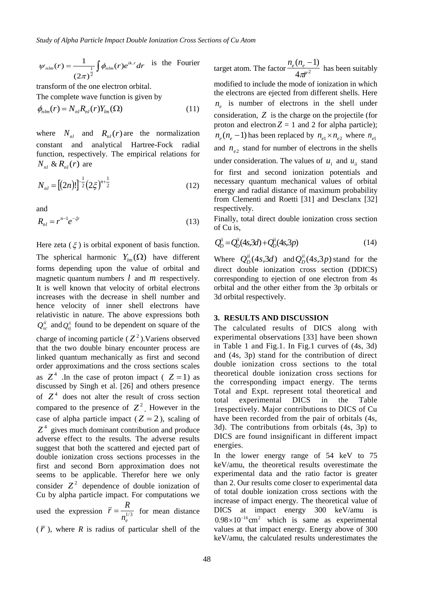$$
\psi_{nlm}(r) = \frac{1}{(2\pi)^{\frac{1}{2}}} \int \phi_{nlm}(r) e^{ik.r} dr
$$
 is the Fourier

transform of the one electron orbital. The complete wave function is given by

$$
\phi_{nlm}(r) = N_{nl} R_{nl}(r) Y_{lm}(\Omega)
$$
\n(11)

where  $N_{nl}$  and  $R_{nl}(r)$  are the normalization constant and analytical Hartree-Fock radial function, respectively. The empirical relations for  $N_{nl} \& R_{nl}(r)$  are

$$
N_{nl} = [(2n)!]^{\frac{1}{2}} (2\zeta)^{n+\frac{1}{2}} \tag{12}
$$

and

$$
R_{nl} = r^{n-1} e^{-\zeta r} \tag{13}
$$

 $\int \phi_{nlm}(r)e^{ikx} dr$  is the Fourier<br>
e electron orbital.<br>
thunction is given by<br>  $\sum_{lm} (\Omega)$  (11)<br>  $R_{nl}(r)$  are the normalization<br>
analytical Hartree-Fock radial<br>
ely. The empirical relations for<br>  $\sum_{lm} (\Omega)$  (12)<br>  $\left(\frac{12}{2}\$ Here zeta  $(\xi)$  is orbital exponent of basis function. The spherical harmonic  $Y_{lm}(\Omega)$  have different forms depending upon the value of orbital and magnetic quantum numbers  $l$  and  $m$  respectively. It is well known that velocity of orbital electrons increases with the decrease in shell number and hence velocity of inner shell electrons have relativistic in nature. The above expressions both  $Q_{sc}^{ii}$  and  $Q_{ej}^{ii}$  found to be dependent on square of the charge of incoming particle  $(Z^2)$ . Variens observed that the two double binary encounter process are linked quantum mechanically as first and second order approximations and the cross sections scales as  $Z^4$ . In the case of proton impact ( $Z = 1$ ) as discussed by Singh et al. [26] and others presence of  $Z<sup>4</sup>$  does not alter the result of cross section compared to the presence of  $Z^2$ . However in the case of alpha particle impact ( $Z = 2$ ), scaling of  $Z<sup>4</sup>$  gives much dominant contribution and produce adverse effect to the results. The adverse results suggest that both the scattered and ejected part of double ionization cross sections processes in the first and second Born approximation does not seems to be applicable. Therefor here we only consider  $Z^2$  dependence of double ionization of Cu by alpha particle impact. For computations we used the expression  $\bar{r} = \frac{1}{n_e^{1/3}}$  $\bar{r} = \frac{R}{\sqrt{3}}$  for mean distance  $(\bar{r})$ , where *R* is radius of particular shell of the

target atom. The factor  $\frac{e^{x}}{4\pi r^2}$  $(n_e - 1)$ *r*  $n_e (n_e)$ π,  $\overline{a}$ has been suitably modified to include the mode of ionization in which the electrons are ejected from different shells. Here  $n_e$  is number of electrons in the shell under consideration, *Z* is the charge on the projectile (for proton and electron  $Z = 1$  and 2 for alpha particle);  $n_e$  ( $n_e$  – 1) has been replaced by  $n_{e1} \times n_{e2}$  where  $n_{e1}$ and  $n_{e2}$  stand for number of electrons in the shells under consideration. The values of  $u_i$  and  $u_{ii}$  stand for first and second ionization potentials and necessary quantum mechanical values of orbital energy and radial distance of maximum probability from Clementi and Roetti [31] and Desclanx [32] respectively.

Finally, total direct double ionization cross section of Cu is,

$$
Q_{D}^{i} = Q_{D}^{i}(4s,3d) + Q_{D}^{i}(4s,3p)
$$
\n(14)

Where  $Q_D^{ii}(4s, 3d)$  $Q_D^{ii}(4s,3d)$  and  $Q_D^{ii}(4s,3p)$  $D_D^{\mu}(4s,3p)$  stand for the direct double ionization cross section (DDICS) corresponding to ejection of one electron from 4s orbital and the other either from the 3p orbitals or 3d orbital respectively.

#### **3. RESULTS AND DISCUSSION**

The calculated results of DICS along with experimental observations [33] have been shown in Table 1 and Fig.1. In Fig.1 curves of (4s, 3d) and (4s, 3p) stand for the contribution of direct double ionization cross sections to the total theoretical double ionization cross sections for the corresponding impact energy. The terms Total and Expt. represent total theoretical and total experimental DICS in the Table 1respectively. Major contributions to DICS of Cu have been recorded from the pair of orbitals (4s, 3d). The contributions from orbitals (4s, 3p) to DICS are found insignificant in different impact energies.

In the lower energy range of 54 keV to 75 keV/amu, the theoretical results overestimate the experimental data and the ratio factor is greater than 2. Our results come closer to experimental data of total double ionization cross sections with the increase of impact energy. The theoretical value of DICS at impact energy 300 keV/amu is  $0.98 \times 10^{-16}$  cm<sup>2</sup> which is same as experimental values at that impact energy. Energy above of 300 keV/amu, the calculated results underestimates the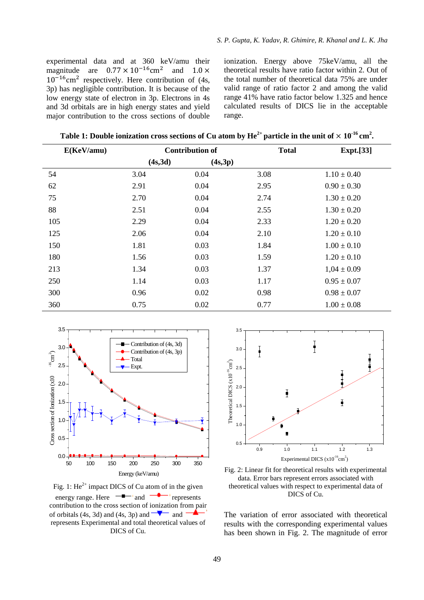experimental data and at 360 keV/amu their magnitude are  $0.77 \times 10^{-16}$  cm<sup>2</sup> and  $10^{-16}$ cm<sup>2</sup> respectively. Here contribution of (4s, 3p) has negligible contribution. It is because of the low energy state of electron in 3p. Electrons in 4s and 3d orbitals are in high energy states and yield major contribution to the cross sections of double

ionization. Energy above 75keV/amu, all the theoretical results have ratio factor within 2. Out of the total number of theoretical data 75% are under valid range of ratio factor 2 and among the valid range 41% have ratio factor below 1.325 and hence calculated results of DICS lie in the acceptable range.

**Table 1: Double ionization cross sections of Cu atom by**  $\text{He}^{2+}$  **particle in the unit of**  $\times$  $10^{-16} \text{ cm}^2$ **.** 

| E(KeV/amu) | <b>Contribution of</b> |         | <b>Total</b> | <b>Expt.</b> [33] |
|------------|------------------------|---------|--------------|-------------------|
|            | (4s, 3d)               | (4s,3p) |              |                   |
| 54         | 3.04                   | 0.04    | 3.08         | $1.10 \pm 0.40$   |
| 62         | 2.91                   | 0.04    | 2.95         | $0.90 \pm 0.30$   |
| 75         | 2.70                   | 0.04    | 2.74         | $1.30 \pm 0.20$   |
| 88         | 2.51                   | 0.04    | 2.55         | $1.30 \pm 0.20$   |
| 105        | 2.29                   | 0.04    | 2.33         | $1.20 \pm 0.20$   |
| 125        | 2.06                   | 0.04    | 2.10         | $1.20 \pm 0.10$   |
| 150        | 1.81                   | 0.03    | 1.84         | $1.00 \pm 0.10$   |
| 180        | 1.56                   | 0.03    | 1.59         | $1.20 \pm 0.10$   |
| 213        | 1.34                   | 0.03    | 1.37         | $1,04 \pm 0.09$   |
| 250        | 1.14                   | 0.03    | 1.17         | $0.95 \pm 0.07$   |
| 300        | 0.96                   | 0.02    | 0.98         | $0.98 \pm 0.07$   |
| 360        | 0.75                   | 0.02    | 0.77         | $1.00 \pm 0.08$   |



Fig. 1:  $\text{He}^{2+}$  impact DICS of Cu atom of in the given energy range. Here  $\overline{\phantom{a}}$  and  $\overline{\phantom{a}}$  represents contribution to the cross section of ionization from pair of orbitals  $(4s, 3d)$  and  $(4s, 3p)$  and and represents Experimental and total theoretical values of DICS of Cu.



Fig. 2: Linear fit for theoretical results with experimental data. Error bars represent errors associated with theoretical values with respect to experimental data of DICS of Cu.

The variation of error associated with theoretical results with the corresponding experimental values has been shown in Fig. 2. The magnitude of error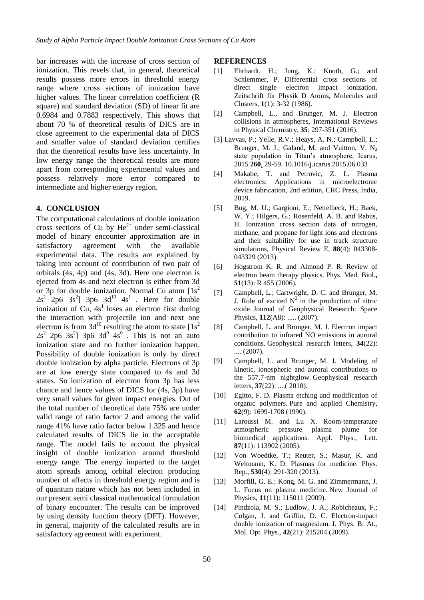bar increases with the increase of cross section of ionization. This revels that, in general, theoretical results possess more errors in threshold energy range where cross sections of ionization have higher values. The linear correlation coefficient (R square) and standard deviation (SD) of linear fit are 0.6984 and 0.7883 respectively. This shows that about 70 % of theoretical results of DICS are in close agreement to the experimental data of DICS and smaller value of standard deviation certifies that the theoretical results have less uncertainty. In low energy range the theoretical results are more apart from corresponding experimental values and possess relatively more error compared to intermediate and higher energy region.

#### **4. CONCLUSION**

The computational calculations of double ionization cross sections of Cu by  $He^{2+}$  under semi-classical model of binary encounter approximation are in satisfactory agreement with the available experimental data. The results are explained by taking into account of contribution of two pair of orbitals (4s, 4p) and (4s, 3d). Here one electron is ejected from 4s and next electron is either from 3d or 3p for double ionization. Normal Cu atom  $[1s^2]$  $2s^2$  2p6 3s<sup>2</sup>] 3p6 3d<sup>10</sup> 4s<sup>1</sup>. Here for double ionization of Cu,  $4s<sup>1</sup>$  loses an electron first during the interaction with projectile ion and next one electron is from  $3d^{10}$  resulting the atom to state  $[1s^2]$  $2s^2$  2p6 3s<sup>2</sup>] 3p6 3d<sup>9</sup> 4s<sup>0</sup>. This is not an auto ionization state and no further ionization happen. Possibility of double ionization is only by direct double ionization by alpha particle. Electrons of 3p are at low energy state compared to 4s and 3d states. So ionization of electron from 3p has less chance and hence values of DICS for (4s, 3p) have very small values for given impact energies. Out of the total number of theoretical data 75% are under valid range of ratio factor 2 and among the valid range 41% have ratio factor below 1.325 and hence calculated results of DICS lie in the acceptable range. The model fails to account the physical insight of double ionization around threshold energy range. The energy imparted to the target atom spreads among orbital electron producing number of affects in threshold energy region and is of quantum nature which has not been included in our present semi classical mathematical formulation of binary encounter. The results can be improved by using density function theory (DFT). However, in general, majority of the calculated results are in satisfactory agreement with experiment.

#### **REFERENCES**

- [1] Ehrhardt, H.; Jung, K.; Knoth, G.; and Schlemmer, P. Differential cross sections of direct single electron impact ionization. Zeitschrift für Physik D Atoms, Molecules and Clusters, **1**(1): 3-32 (1986).
- [2] Campbell, L., and Brunger, M. J. Electron collisions in atmospheres, International Reviews in Physical Chemistry, **35**: 297-351 (2016).
- [3] Lavvas, P.; Yelle, R.V.; Heays, A. N.; Campbell, L.; Brunger, M. J.; Galand, M. and Vuitton, V.  $N_2$ state population in Titan's atmosphere, Icarus, 2015 **[260](file:///C:/Users/Ujjwal%20D%20Gupta/Desktop/Fe+He2+%20SICS%2013.05.2077/Vol.260)**, 29-59. 10.1016/j.icarus.2015.06.033
- [4] Makabe, T. and Petrovic, Z. L. Plasma electronics: Applications in microelectronic device fabrication, 2nd edition, CRC Press, India, 2019.
- [5] Bug, M. U.; Gargioni, E.; Nettelbeck, H.; Baek, W. Y.; Hilgers, G.; Rosenfeld, A. B. and Rabus, H. Ionization cross section data of nitrogen, methane, and propane for light ions and electrons and their suitability for use in track structure simulations, Physical Review E, **88**(4): 043308- 043329 (2013).
- [6] Hogstrom K. R. and Almond P. R. Review of electron beam therapy physics. Phys. Med. Biol.**, 51**(13): R 455 (2006).
- [7] Campbell, L.; Cartwright, D. C. and Brunger, M. J. Role of excited  $N^2$  in the production of nitric oxide. Journal of Geophysical Research: Space Physics, **112**(A8): ..... (2007).
- [8] Campbell, L. and Brunger, M. J. Electron impact contribution to infrared NO emissions in auroral conditions. Geophysical research letters, **34**(22): .... (2007).
- [9] Campbell, L. and Brunger, M. J. Modeling of kinetic, ionospheric and auroral contributions to the 557.7‐nm nightglow. Geophysical research letters, **37**(22): ....( 2010).
- [10] Egitto, F. D. Plasma etching and modification of organic polymers. Pure and applied Chemistry, **62**(9): 1699-1708 (1990).
- [11] Laroussi M. and Lu X. Room-temperature atmospheric pressure plasma plume for biomedical applications. Appl. Phys., Lett. **87**(11): 113902 (2005).
- [12] Von Woedtke, T.; Reuter, S.; Masur, K. and Weltmann, K. D. Plasmas for medicine. Phys. Rep., **530**(4): 291-320 (2013).
- [13] Morfill, G. E.; Kong, M. G. and Zimmermann, J. L. Focus on plasma medicine. New Journal of Physics, **11**(11): 115011 (2009).
- [14] Pindzola, M. S.; Ludlow, J. A.; Robicheaux, F.; Colgan, J. and Griffin, D. C. Electron-impact double ionization of magnesium. J. Phys. B: At., Mol. Opt. Phys., **42**(21): 215204 (2009).